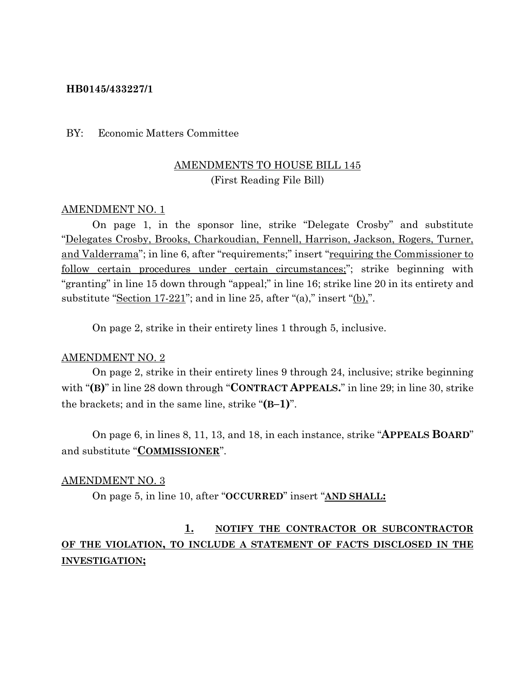### **HB0145/433227/1**

### BY: Economic Matters Committee

### AMENDMENTS TO HOUSE BILL 145 (First Reading File Bill)

### AMENDMENT NO. 1

On page 1, in the sponsor line, strike "Delegate Crosby" and substitute "Delegates Crosby, Brooks, Charkoudian, Fennell, Harrison, Jackson, Rogers, Turner, and Valderrama"; in line 6, after "requirements;" insert "requiring the Commissioner to follow certain procedures under certain circumstances;"; strike beginning with "granting" in line 15 down through "appeal;" in line 16; strike line 20 in its entirety and substitute "Section  $17-221$ "; and in line 25, after "(a)," insert "(b),".

On page 2, strike in their entirety lines 1 through 5, inclusive.

#### AMENDMENT NO. 2

On page 2, strike in their entirety lines 9 through 24, inclusive; strike beginning with "**(B)**" in line 28 down through "**CONTRACT APPEALS.**" in line 29; in line 30, strike the brackets; and in the same line, strike "**(B–1)**".

On page 6, in lines 8, 11, 13, and 18, in each instance, strike "**APPEALS BOARD**" and substitute "**COMMISSIONER**".

#### AMENDMENT NO. 3

On page 5, in line 10, after "**OCCURRED**" insert "**AND SHALL:**

## **1. NOTIFY THE CONTRACTOR OR SUBCONTRACTOR OF THE VIOLATION, TO INCLUDE A STATEMENT OF FACTS DISCLOSED IN THE INVESTIGATION;**